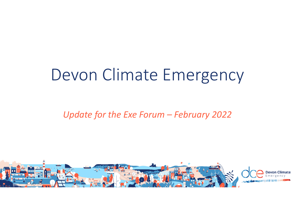# Devon Climate Emergency

*Update for the Exe Forum – February 2022* 

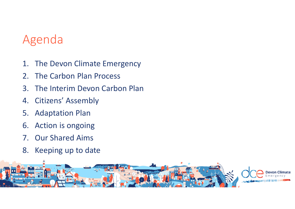#### Agenda

- 1. The Devon Climate Emergency
- 2. The Carbon Plan Process
- 3. The Interim Devon Carbon Plan
- 4. Citizens' Assembly
- 5. Adaptation Plan
- 6. Action is ongoing
- 7. Our Shared Aims
- 8. Keeping up to date

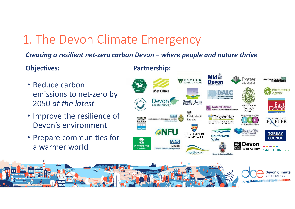## 1. The Devon Climate Emergency

#### *Creating a resilient net-zero carbon Devon – where people and nature thrive*

**Partnership:**

#### **Objectives:**

- Reduce carbon emissions to net-zero by 2050 *at the latest*
- Improve the resilience of Devon's environment
- Prepare communities for a warmer world

#### **Mid #** WESTERN POWER Exeter **EXMOOR Devon** ty Counci **ATIONAL PART** Environment **Met Office** DATE Agency Devon **South Hams** East District Council **County Counci Dirt** Natural Devon **West Devon** Borough Devon Local Nature Partnership Council 颜 **Public Health NHS**  $\sim$ Teignbridge **TORRIDGE<br>DISTRICT<br>COUNCIL** South Western Ambulance Service England **EXETER** DISTRICT COUNCIL **ENFU** heart of the south west **TORBAY UNIVERSITY OF South West PLYMOUTH** COUNCIL Water 鸞 **NHS Devon PLYMOUTH** Devon **Wildlife Trust Clinical Commissioning Group Public Health Devon** northdevor **Devon & Cornwall Police**

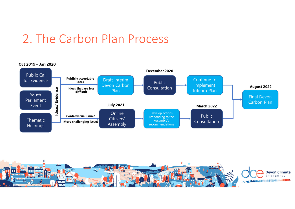### 2. The Carbon Plan Process



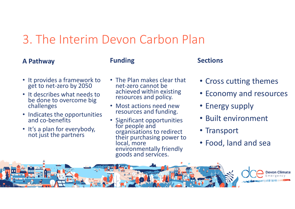### 3. The Interim Devon Carbon Plan

#### **A Pathway**

#### **Funding Sections**

- It provides a framework to get to net-zero by 2050
- It describes what needs to be done to overcome big challenges
- Indicates the opportunities and co-benefits
- It's a plan for everybody, not just the partners
- The Plan makes clear that net-zero cannot be achieved within existing<br>resources and policy.
- Most actions need new resources and funding.
- Significant opportunities for people and<br>organisations to redirect<br>their purchasing power to<br>local, more environmentally friendly<br>goods and services.

- Cross cutting themes
- Economy and resources
- Energy supply
- Built environment
- Transport
- Food, land and sea

![](_page_4_Picture_17.jpeg)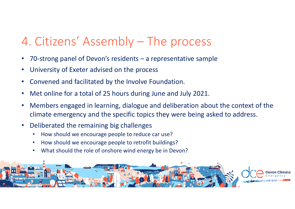## 4. Citizens' Assembly – The process

- •70-strong panel of Devon's residents – a representative sample
- •University of Exeter advised on the process
- •Convened and facilitated by the Involve Foundation.
- •Met online for a total of 25 hours during June and July 2021.
- • Members engaged in learning, dialogue and deliberation about the context of the climate emergency and the specific topics they were being asked to address.
- • Deliberated the remaining big challenges
	- •How should we encourage people to reduce car use?
	- •How should we encourage people to retrofit buildings?
	- •What should the role of onshore wind energy be in Devon?

![](_page_5_Picture_10.jpeg)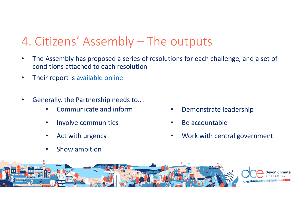## 4. Citizens' Assembly – The outputs

- • The Assembly has proposed a series of resolutions for each challenge, and a set of conditions attached to each resolution
- •Their report is available online
- • Generally, the Partnership needs to….
	- •Communicate and inform
	- •Involve communities
	- •Act with urgency
	- •Show ambition
- •Demonstrate leadership
- •Be accountable
- •Work with central government

![](_page_6_Picture_11.jpeg)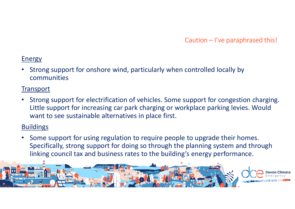$\mathsf{Caution-}$  I've paraphrased this!

#### **Energy**

• Strong support for onshore wind, particularly when controlled locally by communities

#### **Transport**

• Strong support for electrification of vehicles. Some support for congestion charging. Little support for increasing car park charging or workplace parking levies. Would want to see sustainable alternatives in place first.

#### **Buildings**

• Some support for using regulation to require people to upgrade their homes. Specifically, strong support for doing so through the planning system and through linking council tax and business rates to the building's energy performance.

![](_page_7_Picture_7.jpeg)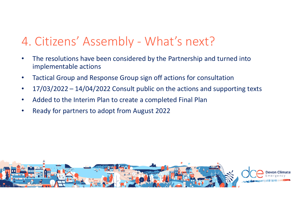## 4. Citizens' Assembly - What's next?

- • The resolutions have been considered by the Partnership and turned into implementable actions
- •Tactical Group and Response Group sign off actions for consultation
- •17/03/2022 – 14/04/2022 Consult public on the actions and supporting texts
- •Added to the Interim Plan to create a completed Final Plan
- •Ready for partners to adopt from August 2022

![](_page_8_Picture_6.jpeg)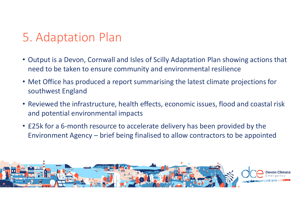## 5. Adaptation Plan

- Output is a Devon, Cornwall and Isles of Scilly Adaptation Plan showing actions that need to be taken to ensure community and environmental resilience
- Met Office has produced a report summarising the latest climate projections for southwest England
- Reviewed the infrastructure, health effects, economic issues, flood and coastal risk and potential environmental impacts
- £25k for a 6-month resource to accelerate delivery has been provided by the Environment Agency – brief being finalised to allow contractors to be appointed

![](_page_9_Picture_5.jpeg)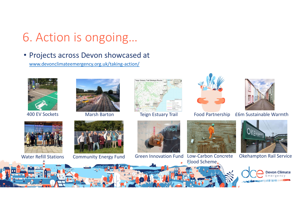## 6. Action is ongoing…

• Projects across Devon showcased at

www.devonclimateemergency.org.uk/taking-action/

![](_page_10_Picture_3.jpeg)

400 EV Sockets

![](_page_10_Picture_5.jpeg)

![](_page_10_Picture_7.jpeg)

![](_page_10_Picture_9.jpeg)

Water Refill Stations Community Energy Fund

![](_page_10_Picture_11.jpeg)

![](_page_10_Picture_13.jpeg)

![](_page_10_Picture_15.jpeg)

![](_page_10_Picture_17.jpeg)

 Green Innovation Fund Low-Carbon Concrete Flood Scheme

![](_page_10_Picture_19.jpeg)

Marsh Barton Teign Estuary Trail Food Partnership £6m Sustainable Warmth

![](_page_10_Picture_21.jpeg)

Okehampton Rail Service

![](_page_10_Picture_23.jpeg)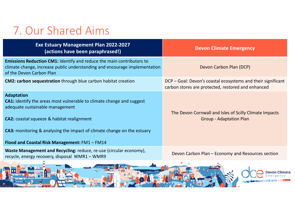## 7. Our Shared Aims

| <b>Exe Estuary Management Plan 2022-2027</b><br>(actions have been paraphrased!)                                                                                                                                                                                                                                             | <b>Devon Climate Emergency</b>                                                                                      |
|------------------------------------------------------------------------------------------------------------------------------------------------------------------------------------------------------------------------------------------------------------------------------------------------------------------------------|---------------------------------------------------------------------------------------------------------------------|
| <b>Emissions Reduction CM1: Identify and reduce the main contributors to</b><br>climate change, increase public understanding and encourage implementation<br>of the Devon Carbon Plan                                                                                                                                       | Devon Carbon Plan (DCP)                                                                                             |
| <b>CM2: carbon sequestration</b> through blue carbon habitat creation                                                                                                                                                                                                                                                        | DCP – Goal: Devon's coastal ecosystems and their significant<br>carbon stores are protected, restored and enhanced  |
| <b>Adaptation</b><br><b>CA1:</b> identify the areas most vulnerable to climate change and suggest<br>adequate sustainable management<br><b>CA2:</b> coastal squeeze & habitat realignment<br><b>CA3:</b> monitoring & analysing the impact of climate change on the estuary<br>Flood and Coastal Risk Management: FM1 - FM14 | The Devon Cornwall and Isles of Scilly Climate Impacts<br><b>Group - Adaptation Plan</b>                            |
| Waste Management and Recycling: reduce, re-use (circular economy),<br>recycle, energy recovery, disposal WMR1 - WMR9                                                                                                                                                                                                         | Devon Carbon Plan - Economy and Resources section                                                                   |
| <b>Service of the Common Service</b>                                                                                                                                                                                                                                                                                         | and the contract of the contract of the contract of the contract of the contract of the contract of the contract of |

![](_page_11_Picture_2.jpeg)